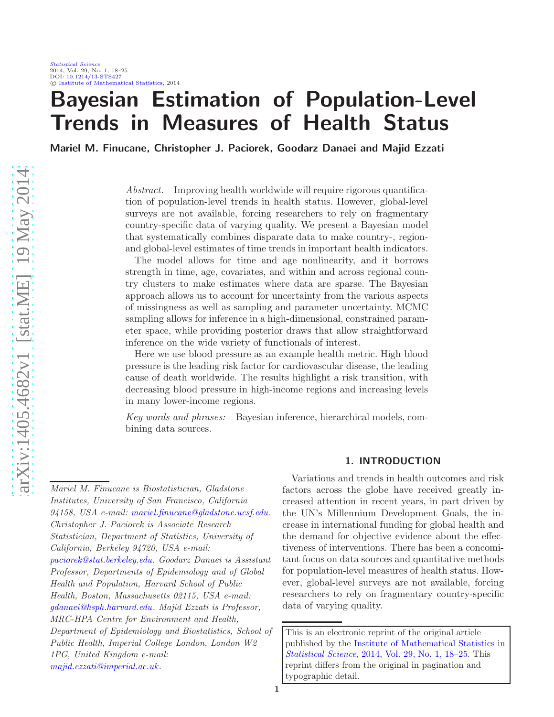# Bayesian Estimation of Population-Level Trends in Measures of Health Status

Mariel M. Finucane, Christopher J. Paciorek, Goodarz Danaei and Majid Ezzati

Abstract. Improving health worldwide will require rigorous quantification of population-level trends in health status. However, global-level surveys are not available, forcing researchers to rely on fragmentary country-specific data of varying quality. We present a Bayesian model that systematically combines disparate data to make country-, regionand global-level estimates of time trends in important health indicators.

The model allows for time and age nonlinearity, and it borrows strength in time, age, covariates, and within and across regional country clusters to make estimates where data are sparse. The Bayesian approach allows us to account for uncertainty from the various aspects of missingness as well as sampling and parameter uncertainty. MCMC sampling allows for inference in a high-dimensional, constrained parameter space, while providing posterior draws that allow straightforward inference on the wide variety of functionals of interest.

Here we use blood pressure as an example health metric. High blood pressure is the leading risk factor for cardiovascular disease, the leading cause of death worldwide. The results highlight a risk transition, with decreasing blood pressure in high-income regions and increasing levels in many lower-income regions.

Key words and phrases: Bayesian inference, hierarchical models, combining data sources.

#### 1. INTRODUCTION

Variations and trends in health outcomes and risk factors across the globe have received greatly increased attention in recent years, in part driven by the UN's Millennium Development Goals, the increase in international funding for global health and the demand for objective evidence about the effectiveness of interventions. There has been a concomitant focus on data sources and quantitative methods for population-level measures of health status. However, global-level surveys are not available, forcing researchers to rely on fragmentary country-specific data of varying quality.

This is an electronic reprint of the original article published by the [Institute of Mathematical Statistics](http://www.imstat.org) in [Statistical Science](http://www.imstat.org/sts/), [2014, Vol. 29, No. 1, 18–25.](http://dx.doi.org/10.1214/13-STS427) This reprint differs from the original in pagination and typographic detail.

Mariel M. Finucane is Biostatistician, Gladstone Institutes, University of San Francisco, California 94158, USA e-mail: [mariel.finucane@gladstone.ucsf.edu.](mailto:mariel.finucane@gladstone.ucsf.edu) Christopher J. Paciorek is Associate Research Statistician, Department of Statistics, University of California, Berkeley 94720, USA e-mail: [paciorek@stat.berkeley.edu.](mailto:paciorek@stat.berkeley.edu) Goodarz Danaei is Assistant Professor, Departments of Epidemiology and of Global Health and Population, Harvard School of Public Health, Boston, Massachusetts 02115, USA e-mail: [gdanaei@hsph.harvard.edu.](mailto:gdanaei@hsph.harvard.edu) Majid Ezzati is Professor, MRC-HPA Centre for Environment and Health, Department of Epidemiology and Biostatistics, School of Public Health, Imperial College London, London W2 1PG, United Kingdom e-mail: [majid.ezzati@imperial.ac.uk.](mailto:majid.ezzati@imperial.ac.uk)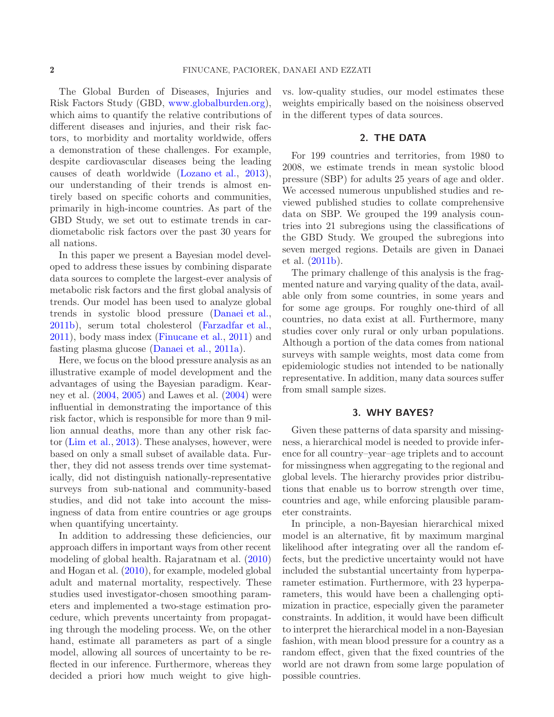The Global Burden of Diseases, Injuries and Risk Factors Study (GBD, [www.globalburden.org\)](http://www.globalburden.org), which aims to quantify the relative contributions of different diseases and injuries, and their risk factors, to morbidity and mortality worldwide, offers a demonstration of these challenges. For example, despite cardiovascular diseases being the leading causes of death worldwide [\(Lozano et al.](#page-7-0), [2013\)](#page-7-0), our understanding of their trends is almost entirely based on specific cohorts and communities, primarily in high-income countries. As part of the GBD Study, we set out to estimate trends in cardiometabolic risk factors over the past 30 years for all nations.

In this paper we present a Bayesian model developed to address these issues by combining disparate data sources to complete the largest-ever analysis of metabolic risk factors and the first global analysis of trends. Our model has been used to analyze global trends in systolic blood pressure [\(Danaei et al.](#page-7-1), [2011b\)](#page-7-1), serum total cholesterol [\(Farzadfar et al.](#page-7-2), [2011\)](#page-7-2), body mass index [\(Finucane et al.](#page-7-3), [2011\)](#page-7-3) and fasting plasma glucose [\(Danaei et al.](#page-6-0), [2011a](#page-6-0)).

Here, we focus on the blood pressure analysis as an illustrative example of model development and the advantages of using the Bayesian paradigm. Kearney et al. [\(2004](#page-7-4), [2005\)](#page-7-5) and Lawes et al. [\(2004\)](#page-7-6) were influential in demonstrating the importance of this risk factor, which is responsible for more than 9 million annual deaths, more than any other risk factor [\(Lim et al.,](#page-7-7) [2013\)](#page-7-7). These analyses, however, were based on only a small subset of available data. Further, they did not assess trends over time systematically, did not distinguish nationally-representative surveys from sub-national and community-based studies, and did not take into account the missingness of data from entire countries or age groups when quantifying uncertainty.

In addition to addressing these deficiencies, our approach differs in important ways from other recent modeling of global health. Rajaratnam et al. [\(2010\)](#page-7-8) and Hogan et al. [\(2010](#page-7-9)), for example, modeled global adult and maternal mortality, respectively. These studies used investigator-chosen smoothing parameters and implemented a two-stage estimation procedure, which prevents uncertainty from propagating through the modeling process. We, on the other hand, estimate all parameters as part of a single model, allowing all sources of uncertainty to be reflected in our inference. Furthermore, whereas they decided a priori how much weight to give high-

vs. low-quality studies, our model estimates these weights empirically based on the noisiness observed in the different types of data sources.

#### 2. THE DATA

For 199 countries and territories, from 1980 to 2008, we estimate trends in mean systolic blood pressure (SBP) for adults 25 years of age and older. We accessed numerous unpublished studies and reviewed published studies to collate comprehensive data on SBP. We grouped the 199 analysis countries into 21 subregions using the classifications of the GBD Study. We grouped the subregions into seven merged regions. Details are given in Danaei et al. [\(2011b](#page-7-1)).

The primary challenge of this analysis is the fragmented nature and varying quality of the data, available only from some countries, in some years and for some age groups. For roughly one-third of all countries, no data exist at all. Furthermore, many studies cover only rural or only urban populations. Although a portion of the data comes from national surveys with sample weights, most data come from epidemiologic studies not intended to be nationally representative. In addition, many data sources suffer from small sample sizes.

## 3. WHY BAYES?

Given these patterns of data sparsity and missingness, a hierarchical model is needed to provide inference for all country–year–age triplets and to account for missingness when aggregating to the regional and global levels. The hierarchy provides prior distributions that enable us to borrow strength over time, countries and age, while enforcing plausible parameter constraints.

In principle, a non-Bayesian hierarchical mixed model is an alternative, fit by maximum marginal likelihood after integrating over all the random effects, but the predictive uncertainty would not have included the substantial uncertainty from hyperparameter estimation. Furthermore, with 23 hyperparameters, this would have been a challenging optimization in practice, especially given the parameter constraints. In addition, it would have been difficult to interpret the hierarchical model in a non-Bayesian fashion, with mean blood pressure for a country as a random effect, given that the fixed countries of the world are not drawn from some large population of possible countries.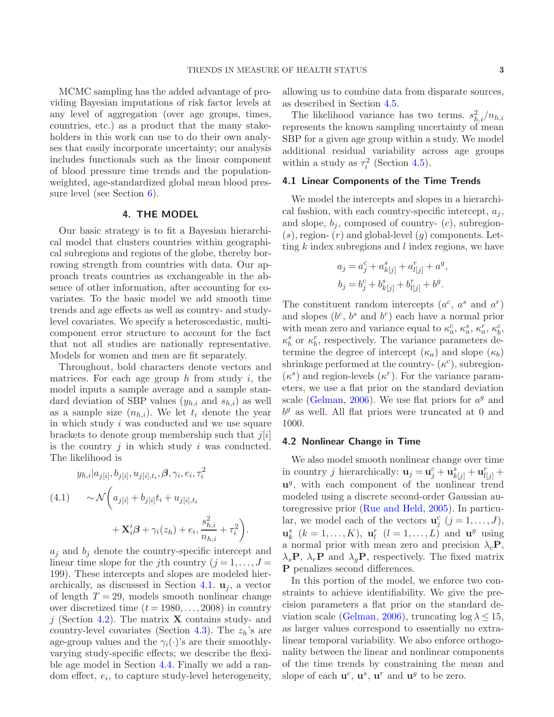MCMC sampling has the added advantage of providing Bayesian imputations of risk factor levels at any level of aggregation (over age groups, times, countries, etc.) as a product that the many stakeholders in this work can use to do their own analyses that easily incorporate uncertainty; our analysis includes functionals such as the linear component of blood pressure time trends and the populationweighted, age-standardized global mean blood pressure level (see Section [6\)](#page-4-0).

# 4. THE MODEL

Our basic strategy is to fit a Bayesian hierarchical model that clusters countries within geographical subregions and regions of the globe, thereby borrowing strength from countries with data. Our approach treats countries as exchangeable in the absence of other information, after accounting for covariates. To the basic model we add smooth time trends and age effects as well as country- and studylevel covariates. We specify a heteroscedastic, multicomponent error structure to account for the fact that not all studies are nationally representative. Models for women and men are fit separately.

Throughout, bold characters denote vectors and matrices. For each age group  $h$  from study  $i$ , the model inputs a sample average and a sample standard deviation of SBP values  $(y_{h,i}$  and  $s_{h,i})$  as well as a sample size  $(n_{h,i})$ . We let  $t_i$  denote the year in which study i was conducted and we use square brackets to denote group membership such that  $j[i]$ is the country  $j$  in which study  $i$  was conducted. The likelihood is

$$
y_{h,i}|a_{j[i]}, b_{j[i]}, u_{j[i],t_i}, \beta, \gamma_i, e_i, \tau_i^2
$$
  
(4.1) 
$$
\sim \mathcal{N}\left(a_{j[i]} + b_{j[i]}t_i + u_{j[i],t_i} + \mathbf{X}'_i\beta + \gamma_i(z_h) + e_i, \frac{s_{h,i}^2}{n_{h,i}} + \tau_i^2\right).
$$

 $a_j$  and  $b_j$  denote the country-specific intercept and linear time slope for the j<sup>th</sup> country  $(j = 1, \ldots, J =$ 199). These intercepts and slopes are modeled hier-archically, as discussed in Section [4.1.](#page-2-0)  $\mathbf{u}_i$ , a vector of length  $T = 29$ , models smooth nonlinear change over discretized time  $(t = 1980, \ldots, 2008)$  in country j (Section [4.2\)](#page-2-1). The matrix **X** contains study- and country-level covariates (Section [4.3\)](#page-3-0). The  $z_h$ 's are age-group values and the  $\gamma_i(\cdot)$ 's are their smoothlyvarying study-specific effects; we describe the flexible age model in Section [4.4.](#page-3-1) Finally we add a random effect,  $e_i$ , to capture study-level heterogeneity,

allowing us to combine data from disparate sources, as described in Section [4.5.](#page-3-2)

The likelihood variance has two terms.  $s_{h,i}^2/n_{h,i}$ represents the known sampling uncertainty of mean SBP for a given age group within a study. We model additional residual variability across age groups within a study as  $\tau_i^2$  (Section [4.5\)](#page-3-2).

## <span id="page-2-0"></span>4.1 Linear Components of the Time Trends

We model the intercepts and slopes in a hierarchical fashion, with each country-specific intercept,  $a_i$ , and slope,  $b_i$ , composed of country-  $(c)$ , subregion- $(s)$ , region-  $(r)$  and global-level  $(g)$  components. Letting  $k$  index subregions and  $l$  index regions, we have

$$
a_j = a_j^c + a_{k[j]}^s + a_{l[j]}^r + a^g,
$$
  

$$
b_j = b_j^c + b_{k[j]}^s + b_{l[j]}^r + b^g.
$$

The constituent random intercepts  $(a^c, a^s \text{ and } a^r)$ and slopes  $(b^c, b^s \text{ and } b^r)$  each have a normal prior with mean zero and variance equal to  $\kappa_a^c$ ,  $\kappa_a^s$ ,  $\kappa_a^r$ ,  $\kappa_b^c$ ,  $\kappa_b^s$  or  $\kappa_b^r$ , respectively. The variance parameters determine the degree of intercept  $(\kappa_a)$  and slope  $(\kappa_b)$ shrinkage performed at the country- $(\kappa^c)$ , subregion- $(\kappa^s)$  and region-levels  $(\kappa^r)$ . For the variance parameters, we use a flat prior on the standard deviation scale [\(Gelman,](#page-7-10) [2006](#page-7-10)). We use flat priors for  $a<sup>g</sup>$  and  $b<sup>g</sup>$  as well. All flat priors were truncated at 0 and 1000.

#### <span id="page-2-1"></span>4.2 Nonlinear Change in Time

We also model smooth nonlinear change over time in country *j* hierarchically:  $\mathbf{u}_j = \mathbf{u}_j^c + \mathbf{u}_{k[j]}^s + \mathbf{u}_{l[j]}^r +$  $\mathbf{u}^{g}$ , with each component of the nonlinear trend modeled using a discrete second-order Gaussian autoregressive prior [\(Rue and Held](#page-7-11), [2005](#page-7-11)). In particular, we model each of the vectors  $\mathbf{u}_j^c$   $(j = 1, \ldots, J)$ ,  $\mathbf{u}_k^s$   $(k = 1, \ldots, K)$ ,  $\mathbf{u}_l^r$   $(l = 1, \ldots, L)$  and  $\mathbf{u}^g$  using a normal prior with mean zero and precision  $\lambda_c$ **P**,  $\lambda_s \mathbf{P}, \lambda_r \mathbf{P}$  and  $\lambda_q \mathbf{P}$ , respectively. The fixed matrix P penalizes second differences.

In this portion of the model, we enforce two constraints to achieve identifiability. We give the precision parameters a flat prior on the standard de-viation scale [\(Gelman,](#page-7-10) [2006](#page-7-10)), truncating  $\log \lambda \leq 15$ , as larger values correspond to essentially no extralinear temporal variability. We also enforce orthogonality between the linear and nonlinear components of the time trends by constraining the mean and slope of each  $\mathbf{u}^c$ ,  $\mathbf{u}^s$ ,  $\mathbf{u}^r$  and  $\mathbf{u}^g$  to be zero.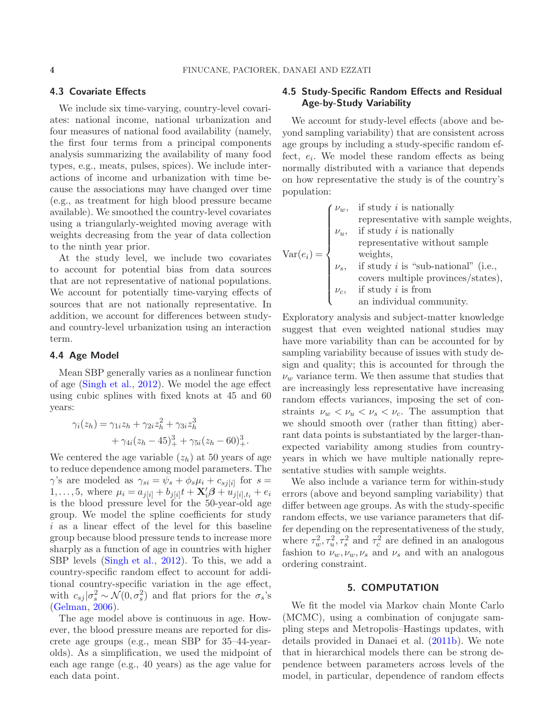# <span id="page-3-0"></span>4.3 Covariate Effects

We include six time-varying, country-level covariates: national income, national urbanization and four measures of national food availability (namely, the first four terms from a principal components analysis summarizing the availability of many food types, e.g., meats, pulses, spices). We include interactions of income and urbanization with time because the associations may have changed over time (e.g., as treatment for high blood pressure became available). We smoothed the country-level covariates using a triangularly-weighted moving average with weights decreasing from the year of data collection to the ninth year prior.

At the study level, we include two covariates to account for potential bias from data sources that are not representative of national populations. We account for potentially time-varying effects of sources that are not nationally representative. In addition, we account for differences between studyand country-level urbanization using an interaction term.

#### <span id="page-3-1"></span>4.4 Age Model

Mean SBP generally varies as a nonlinear function of age [\(Singh et al.,](#page-7-12) [2012](#page-7-12)). We model the age effect using cubic splines with fixed knots at 45 and 60 years:

$$
\gamma_i(z_h) = \gamma_{1i} z_h + \gamma_{2i} z_h^2 + \gamma_{3i} z_h^3 + \gamma_{4i} (z_h - 45)_+^3 + \gamma_{5i} (z_h - 60)_+^3.
$$

We centered the age variable  $(z_h)$  at 50 years of age to reduce dependence among model parameters. The  $\gamma$ 's are modeled as  $\gamma_{si} = \psi_s + \phi_s \mu_i + c_{sj[i]}$  for  $s =$ 1,..., 5, where  $\mu_i = a_{j[i]} + b_{j[i]}t + \mathbf{X}'_i\boldsymbol{\beta} + u_{j[i],t_i} + e_i$ is the blood pressure level for the 50-year-old age group. We model the spline coefficients for study i as a linear effect of the level for this baseline group because blood pressure tends to increase more sharply as a function of age in countries with higher SBP levels [\(Singh et al.](#page-7-12), [2012](#page-7-12)). To this, we add a country-specific random effect to account for additional country-specific variation in the age effect, with  $c_{sj} | \sigma_s^2 \sim \mathcal{N}(0, \sigma_s^2)$  and flat priors for the  $\sigma_s$ 's [\(Gelman](#page-7-10), [2006\)](#page-7-10).

The age model above is continuous in age. However, the blood pressure means are reported for discrete age groups (e.g., mean SBP for 35–44-yearolds). As a simplification, we used the midpoint of each age range (e.g., 40 years) as the age value for each data point.

# <span id="page-3-2"></span>4.5 Study-Specific Random Effects and Residual Age-by-Study Variability

We account for study-level effects (above and beyond sampling variability) that are consistent across age groups by including a study-specific random effect,  $e_i$ . We model these random effects as being normally distributed with a variance that depends on how representative the study is of the country's population:

|  | $\int \nu_w$ , if study <i>i</i> is nationally                                                                                                                             |
|--|----------------------------------------------------------------------------------------------------------------------------------------------------------------------------|
|  | representative with sample weights,                                                                                                                                        |
|  | $\nu_u$ , if study <i>i</i> is nationally                                                                                                                                  |
|  | representative without sample                                                                                                                                              |
|  |                                                                                                                                                                            |
|  | Var( $e_i$ ) = $\begin{cases} v_s, & \text{weights,} \\ v_s, & \text{if study } i \text{ is "sub-national" (i.e.,} \\ & \text{with } \text{in various/states} \end{cases}$ |
|  | covers multiple provinces/states),                                                                                                                                         |
|  |                                                                                                                                                                            |
|  | $\nu_c$ , if study <i>i</i> is from<br>an individual community.                                                                                                            |
|  |                                                                                                                                                                            |

Exploratory analysis and subject-matter knowledge suggest that even weighted national studies may have more variability than can be accounted for by sampling variability because of issues with study design and quality; this is accounted for through the  $\nu_w$  variance term. We then assume that studies that are increasingly less representative have increasing random effects variances, imposing the set of constraints  $\nu_w < \nu_u < \nu_s < \nu_c$ . The assumption that we should smooth over (rather than fitting) aberrant data points is substantiated by the larger-thanexpected variability among studies from countryyears in which we have multiple nationally representative studies with sample weights.

We also include a variance term for within-study errors (above and beyond sampling variability) that differ between age groups. As with the study-specific random effects, we use variance parameters that differ depending on the representativeness of the study, where  $\tau_w^2, \tau_u^2, \tau_s^2$  and  $\tau_c^2$  are defined in an analogous fashion to  $\nu_w, \nu_w, \nu_s$  and  $\nu_s$  and with an analogous ordering constraint.

#### 5. COMPUTATION

We fit the model via Markov chain Monte Carlo (MCMC), using a combination of conjugate sampling steps and Metropolis–Hastings updates, with details provided in Danaei et al. [\(2011b](#page-7-1)). We note that in hierarchical models there can be strong dependence between parameters across levels of the model, in particular, dependence of random effects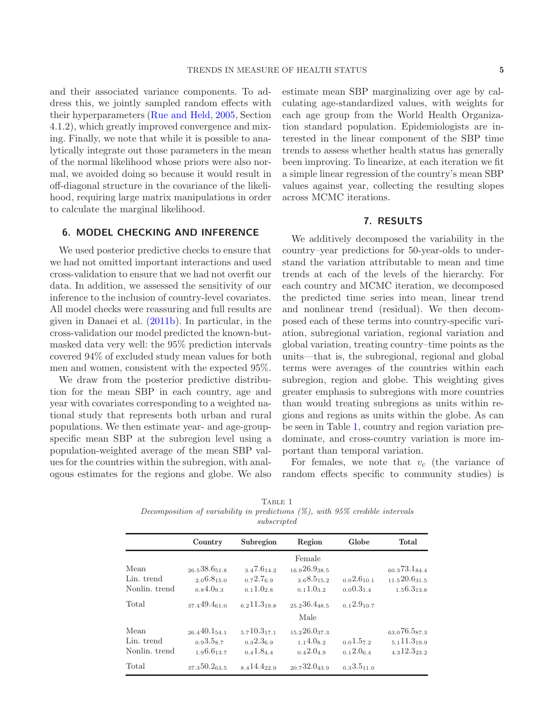and their associated variance components. To address this, we jointly sampled random effects with their hyperparameters [\(Rue and Held,](#page-7-11) [2005](#page-7-11), Section 4.1.2), which greatly improved convergence and mixing. Finally, we note that while it is possible to analytically integrate out those parameters in the mean of the normal likelihood whose priors were also normal, we avoided doing so because it would result in off-diagonal structure in the covariance of the likelihood, requiring large matrix manipulations in order to calculate the marginal likelihood.

## <span id="page-4-0"></span>6. MODEL CHECKING AND INFERENCE

We used posterior predictive checks to ensure that we had not omitted important interactions and used cross-validation to ensure that we had not overfit our data. In addition, we assessed the sensitivity of our inference to the inclusion of country-level covariates. All model checks were reassuring and full results are given in Danaei et al. [\(2011b\)](#page-7-1). In particular, in the cross-validation our model predicted the known-butmasked data very well: the 95% prediction intervals covered 94% of excluded study mean values for both men and women, consistent with the expected 95%.

We draw from the posterior predictive distribution for the mean SBP in each country, age and year with covariates corresponding to a weighted national study that represents both urban and rural populations. We then estimate year- and age-groupspecific mean SBP at the subregion level using a population-weighted average of the mean SBP values for the countries within the subregion, with analogous estimates for the regions and globe. We also estimate mean SBP marginalizing over age by calculating age-standardized values, with weights for each age group from the World Health Organization standard population. Epidemiologists are interested in the linear component of the SBP time trends to assess whether health status has generally been improving. To linearize, at each iteration we fit a simple linear regression of the country's mean SBP values against year, collecting the resulting slopes across MCMC iterations.

### 7. RESULTS

We additively decomposed the variability in the country–year predictions for 50-year-olds to understand the variation attributable to mean and time trends at each of the levels of the hierarchy. For each country and MCMC iteration, we decomposed the predicted time series into mean, linear trend and nonlinear trend (residual). We then decomposed each of these terms into country-specific variation, subregional variation, regional variation and global variation, treating country–time points as the units—that is, the subregional, regional and global terms were averages of the countries within each subregion, region and globe. This weighting gives greater emphasis to subregions with more countries than would treating subregions as units within regions and regions as units within the globe. As can be seen in Table [1,](#page-4-1) country and region variation predominate, and cross-country variation is more important than temporal variation.

For females, we note that  $v_c$  (the variance of random effects specific to community studies) is

<span id="page-4-1"></span>

|                                                                                  | IADDD I     |  |  |
|----------------------------------------------------------------------------------|-------------|--|--|
| Decomposition of variability in predictions $(\%)$ , with 95% credible intervals |             |  |  |
|                                                                                  | subscripted |  |  |
|                                                                                  |             |  |  |

Table 1

|                                     | Country                                         | Subregion                              | Region                                            | Globe                   | <b>Total</b>                                     |
|-------------------------------------|-------------------------------------------------|----------------------------------------|---------------------------------------------------|-------------------------|--------------------------------------------------|
| Mean<br>Lin. trend<br>Nonlin. trend | 26.538.651.8<br>2.06.815.0<br>0.84.09.3         | 3.47.614.2<br>0.72.76.9<br>0.11.028    | Female<br>16.926.938.5<br>3.68.515.2<br>0.11.03.2 | 0.02.610.1<br>0.00.31.4 | 60.373.184.4<br>11.520.631.5<br>1.56.313.8       |
| Total                               | 37.449.4 <sub>61.0</sub>                        | 6 2 $11.3$ 19 8                        | $25.236.4$ 48.5<br>Male                           | 0.12.910.7              |                                                  |
| Mean<br>Lin. trend<br>Nonlin. trend | $26.440.1_{54.1}$<br>0.93.587<br>$196.6_{13.7}$ | $5710.3$ 17 1<br>0.32.36.9<br>0.41.844 | 15226.0373<br>1.14.082<br>0.42.049                | 0.01.572<br>0.12.064    | 63.076.587.3<br>$5,11.3$ 199<br>$4.312.3_{23.2}$ |
| Total                               | 37350.2635                                      | 8414.4229                              | $_{20}$ 732.0 <sub>43.9</sub>                     | 0.33.511.0              |                                                  |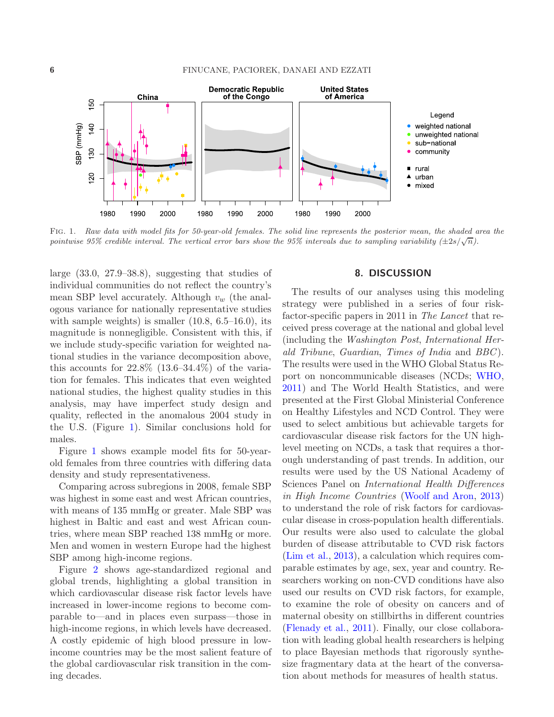

<span id="page-5-0"></span>Fig. 1. *Raw data with model fits for 50-year-old females. The solid line represents the posterior mean, the shaded area the pointwise 95% credible interval. The vertical error bars show the 95% intervals due to sampling variability*  $(\pm 2s/\sqrt{n})$ .

large (33.0, 27.9–38.8), suggesting that studies of individual communities do not reflect the country's mean SBP level accurately. Although  $v_w$  (the analogous variance for nationally representative studies with sample weights) is smaller  $(10.8, 6.5-16.0)$ , its magnitude is nonnegligible. Consistent with this, if we include study-specific variation for weighted national studies in the variance decomposition above, this accounts for  $22.8\%$   $(13.6-34.4\%)$  of the variation for females. This indicates that even weighted national studies, the highest quality studies in this analysis, may have imperfect study design and quality, reflected in the anomalous 2004 study in the U.S. (Figure [1\)](#page-5-0). Similar conclusions hold for males.

Figure [1](#page-5-0) shows example model fits for 50-yearold females from three countries with differing data density and study representativeness.

Comparing across subregions in 2008, female SBP was highest in some east and west African countries, with means of 135 mmHg or greater. Male SBP was highest in Baltic and east and west African countries, where mean SBP reached 138 mmHg or more. Men and women in western Europe had the highest SBP among high-income regions.

Figure [2](#page-6-1) shows age-standardized regional and global trends, highlighting a global transition in which cardiovascular disease risk factor levels have increased in lower-income regions to become comparable to—and in places even surpass—those in high-income regions, in which levels have decreased. A costly epidemic of high blood pressure in lowincome countries may be the most salient feature of the global cardiovascular risk transition in the coming decades.

# 8. DISCUSSION

The results of our analyses using this modeling strategy were published in a series of four riskfactor-specific papers in 2011 in The Lancet that received press coverage at the national and global level (including the Washington Post, International Herald Tribune, Guardian, Times of India and BBC). The results were used in the WHO Global Status Report on noncommunicable diseases (NCDs; [WHO](#page-7-13), [2011\)](#page-7-13) and The World Health Statistics, and were presented at the First Global Ministerial Conference on Healthy Lifestyles and NCD Control. They were used to select ambitious but achievable targets for cardiovascular disease risk factors for the UN highlevel meeting on NCDs, a task that requires a thorough understanding of past trends. In addition, our results were used by the US National Academy of Sciences Panel on International Health Differences in High Income Countries [\(Woolf and Aron,](#page-7-14) [2013\)](#page-7-14) to understand the role of risk factors for cardiovascular disease in cross-population health differentials. Our results were also used to calculate the global burden of disease attributable to CVD risk factors [\(Lim et al.](#page-7-7), [2013\)](#page-7-7), a calculation which requires comparable estimates by age, sex, year and country. Researchers working on non-CVD conditions have also used our results on CVD risk factors, for example, to examine the role of obesity on cancers and of maternal obesity on stillbirths in different countries [\(Flenady et al.](#page-7-15), [2011](#page-7-15)). Finally, our close collaboration with leading global health researchers is helping to place Bayesian methods that rigorously synthesize fragmentary data at the heart of the conversation about methods for measures of health status.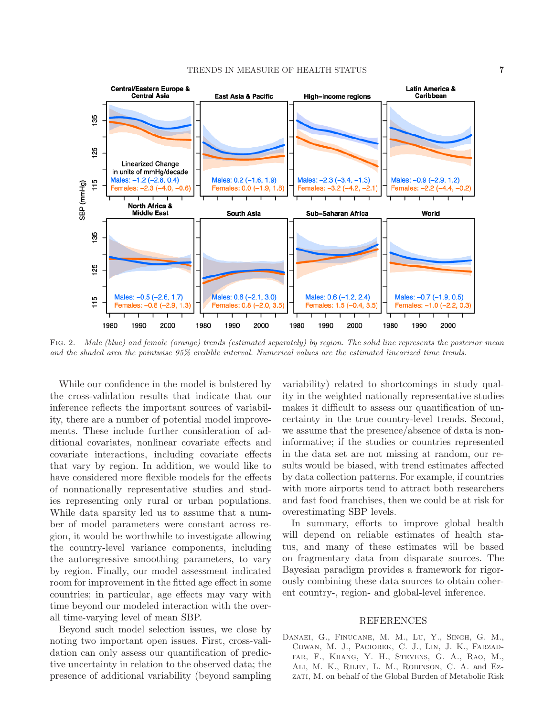## TRENDS IN MEASURE OF HEALTH STATUS **7**



<span id="page-6-1"></span>Fig. 2. *Male (blue) and female (orange) trends (estimated separately) by region. The solid line represents the posterior mean and the shaded area the pointwise 95% credible interval. Numerical values are the estimated linearized time trends.*

While our confidence in the model is bolstered by the cross-validation results that indicate that our inference reflects the important sources of variability, there are a number of potential model improvements. These include further consideration of additional covariates, nonlinear covariate effects and covariate interactions, including covariate effects that vary by region. In addition, we would like to have considered more flexible models for the effects of nonnationally representative studies and studies representing only rural or urban populations. While data sparsity led us to assume that a number of model parameters were constant across region, it would be worthwhile to investigate allowing the country-level variance components, including the autoregressive smoothing parameters, to vary by region. Finally, our model assessment indicated room for improvement in the fitted age effect in some countries; in particular, age effects may vary with time beyond our modeled interaction with the overall time-varying level of mean SBP.

Beyond such model selection issues, we close by noting two important open issues. First, cross-validation can only assess our quantification of predictive uncertainty in relation to the observed data; the presence of additional variability (beyond sampling variability) related to shortcomings in study quality in the weighted nationally representative studies makes it difficult to assess our quantification of uncertainty in the true country-level trends. Second, we assume that the presence/absence of data is noninformative; if the studies or countries represented in the data set are not missing at random, our results would be biased, with trend estimates affected by data collection patterns. For example, if countries with more airports tend to attract both researchers and fast food franchises, then we could be at risk for overestimating SBP levels.

In summary, efforts to improve global health will depend on reliable estimates of health status, and many of these estimates will be based on fragmentary data from disparate sources. The Bayesian paradigm provides a framework for rigorously combining these data sources to obtain coherent country-, region- and global-level inference.

#### REFERENCES

<span id="page-6-0"></span>Danaei, G., Finucane, M. M., Lu, Y., Singh, G. M., Cowan, M. J., Paciorek, C. J., Lin, J. K., Farzadfar, F., Khang, Y. H., Stevens, G. A., Rao, M., Ali, M. K., Riley, L. M., Robinson, C. A. and Ezzati, M. on behalf of the Global Burden of Metabolic Risk